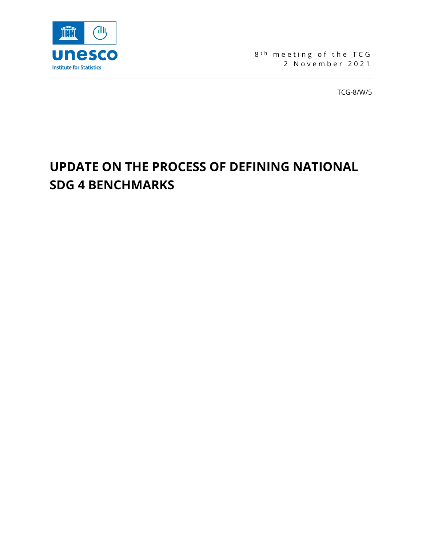

8<sup>th</sup> meeting of the TCG 2 November 2021

TCG-8/W/5

# **UPDATE ON THE PROCESS OF DEFINING NATIONAL SDG 4 BENCHMARKS**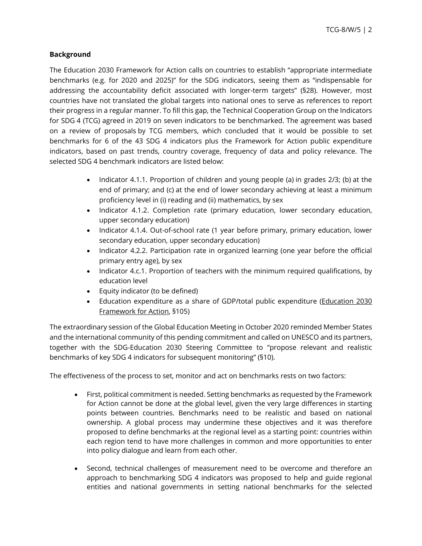#### **Background**

The Education 2030 Framework for Action calls on countries to establish "appropriate intermediate benchmarks (e.g. for 2020 and 2025)" for the SDG indicators, seeing them as "indispensable for addressing the accountability deficit associated with longer-term targets" (§28). However, most countries have not translated the global targets into national ones to serve as references to report their progress in a regular manner. To fill this gap, the Technical Cooperation Group on the Indicators for SDG 4 (TCG) agreed in 2019 on seven indicators to be benchmarked. The agreement was based on a review of [proposals](http://tcg.uis.unesco.org/wp-content/uploads/sites/4/2019/08/TCG6-REF-12-Benchmarking.pdf) by TCG members, which concluded that it would be possible to set benchmarks for 6 of the 43 SDG 4 indicators plus the Framework for Action public expenditure indicators, based on past trends, country coverage, frequency of data and policy relevance. The selected SDG 4 benchmark indicators are listed below:

- Indicator 4.1.1. Proportion of children and young people (a) in grades 2/3; (b) at the end of primary; and (c) at the end of lower secondary achieving at least a minimum proficiency level in (i) reading and (ii) mathematics, by sex
- Indicator 4.1.2. Completion rate (primary education, lower secondary education, upper secondary education)
- Indicator 4.1.4. Out-of-school rate (1 year before primary, primary education, lower secondary education, upper secondary education)
- Indicator 4.2.2. Participation rate in organized learning (one year before the official primary entry age), by sex
- Indicator 4.c.1. Proportion of teachers with the minimum required qualifications, by education level
- Equity indicator (to be defined)
- Education expenditure as a share of GDP/total public expenditure (Education 2030 [Framework for Action,](http://uis.unesco.org/sites/default/files/documents/education-2030-incheon-framework-for-action-implementation-of-sdg4-2016-en_2.pdf) §105)

The extraordinary session of the Global Education Meeting in October 2020 reminded Member States and the international community of this pending commitment and called on UNESCO and its partners, together with the SDG-Education 2030 Steering Committee to "propose relevant and realistic benchmarks of key SDG 4 indicators for subsequent monitoring" (§10).

The effectiveness of the process to set, monitor and act on benchmarks rests on two factors:

- First, political commitment is needed. Setting benchmarks as requested by the Framework for Action cannot be done at the global level, given the very large differences in starting points between countries. Benchmarks need to be realistic and based on national ownership. A global process may undermine these objectives and it was therefore proposed to define benchmarks at the regional level as a starting point: countries within each region tend to have more challenges in common and more opportunities to enter into policy dialogue and learn from each other.
- Second, technical challenges of measurement need to be overcome and therefore an approach to benchmarking SDG 4 indicators was proposed to help and guide regional entities and national governments in setting national benchmarks for the selected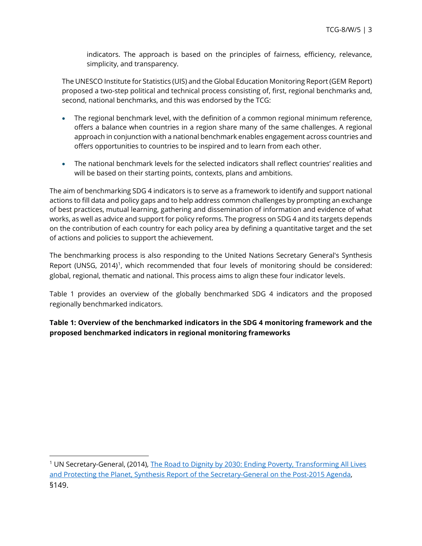indicators. The approach is based on the principles of fairness, efficiency, relevance, simplicity, and transparency.

The UNESCO Institute for Statistics (UIS) and the Global Education Monitoring Report (GEM Report) proposed a two-step political and technical process consisting of, first, regional benchmarks and, second, national benchmarks, and this was endorsed by the TCG:

- The regional benchmark level, with the definition of a common regional minimum reference, offers a balance when countries in a region share many of the same challenges. A regional approach in conjunction with a national benchmark enables engagement across countries and offers opportunities to countries to be inspired and to learn from each other.
- The national benchmark levels for the selected indicators shall reflect countries' realities and will be based on their starting points, contexts, plans and ambitions.

The aim of benchmarking SDG 4 indicators is to serve as a framework to identify and support national actions to fill data and policy gaps and to help address common challenges by prompting an exchange of best practices, mutual learning, gathering and dissemination of information and evidence of what works, as well as advice and support for policy reforms. The progress on SDG 4 and its targets depends on the contribution of each country for each policy area by defining a quantitative target and the set of actions and policies to support the achievement.

The benchmarking process is also responding to the United Nations Secretary General's Synthesis Report (UNSG, 2014)[1](#page-2-0), which recommended that four levels of monitoring should be considered: global, regional, thematic and national. This process aims to align these four indicator levels.

Table 1 provides an overview of the globally benchmarked SDG 4 indicators and the proposed regionally benchmarked indicators.

**Table 1: Overview of the benchmarked indicators in the SDG 4 monitoring framework and the proposed benchmarked indicators in regional monitoring frameworks**

<span id="page-2-0"></span><sup>&</sup>lt;sup>1</sup> UN Secretary-General, (2014), The Road to Dignity by 2030: Ending Poverty, Transforming All Lives [and Protecting the Planet, Synthesis Report of the Secretary-General on the Post-2015](https://www.un.org/en/development/desa/publications/files/2015/01/SynthesisReportENG.pdf) Agenda, §149.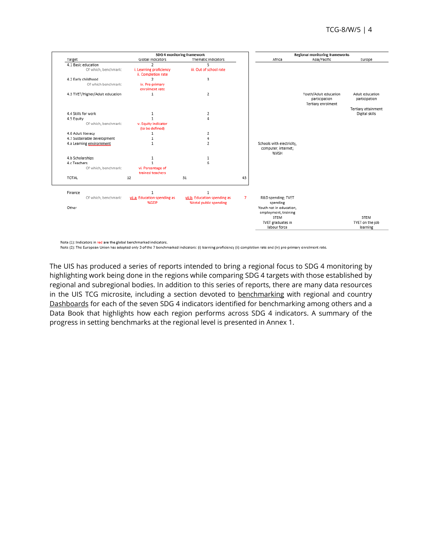

Note (1): Indicators in red are the global benchmarked indicators.

Note (2): The European Union has adopted only 3 of the 7 benchmarked indicators: (i) learning proficiency (ii) completion rate and (iv) pre-primary enrolment rate.

The UIS has produced a series of reports intended to bring a regional focus to SDG 4 monitoring by highlighting work being done in the regions while comparing SDG 4 targets with those established by regional and subregional bodies. In addition to this series of reports, there are many data resources in the UIS TCG microsite, including a section devoted to [benchmarking](http://tcg.uis.unesco.org/benchmarks/) with regional and country [Dashboards](http://tcg.uis.unesco.org/benchmarks-dashboard/) for each of the seven SDG 4 indicators identified for benchmarking among others and a Data Book that highlights how each region performs across SDG 4 indicators. A summary of the progress in setting benchmarks at the regional level is presented in Annex 1.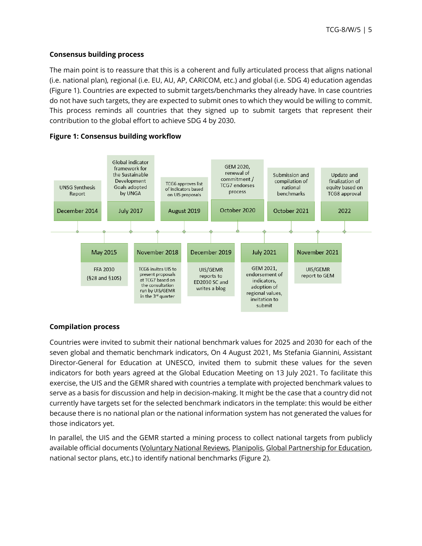#### **Consensus building process**

The main point is to reassure that this is a coherent and fully articulated process that aligns national (i.e. national plan), regional (i.e. EU, AU, AP, CARICOM, etc.) and global (i.e. SDG 4) education agendas (Figure 1). Countries are expected to submit targets/benchmarks they already have. In case countries do not have such targets, they are expected to submit ones to which they would be willing to commit. This process reminds all countries that they signed up to submit targets that represent their contribution to the global effort to achieve SDG 4 by 2030.



#### **Figure 1: Consensus building workflow**

#### **Compilation process**

Countries were invited to submit their national benchmark values for 2025 and 2030 for each of the seven global and thematic benchmark indicators, On 4 August 2021, Ms Stefania Giannini, Assistant Director-General for Education at UNESCO, invited them to submit these values for the seven indicators for both years agreed at the Global Education Meeting on 13 July 2021. To facilitate this exercise, the UIS and the GEMR shared with countries a template with projected benchmark values to serve as a basis for discussion and help in decision-making. It might be the case that a country did not currently have targets set for the selected benchmark indicators in the template: this would be either because there is no national plan or the national information system has not generated the values for those indicators yet.

In parallel, the UIS and the GEMR started a mining process to collect national targets from publicly available official documents [\(Voluntary National Reviews,](https://sustainabledevelopment.un.org/vnrs/) [Planipolis,](https://planipolis.iiep.unesco.org/en) [Global Partnership for Education,](https://www.globalpartnership.org/where-we-work/togo)  national sector plans, etc.) to identify national benchmarks (Figure 2).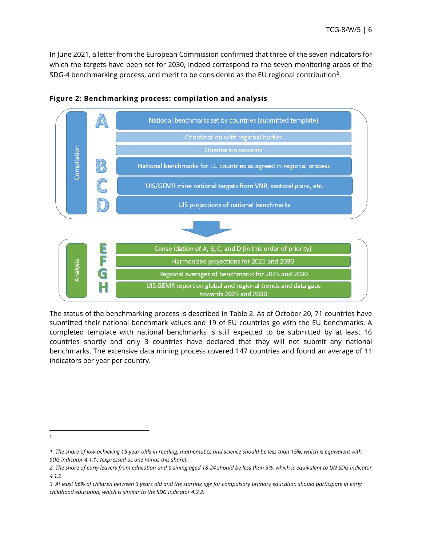In June 2021, a letter from the European Commission confirmed that three of the seven indicators for which the targets have been set for 2030, indeed correspond to the seven monitoring areas of the SDG-4 benchmarking process, and merit to be considered as the EU regional contribution[2](#page-5-0).



**Figure 2: Benchmarking process: compilation and analysis**

The status of the benchmarking process is described in Table 2. As of October 20, 71 countries have submitted their national benchmark values and 19 of EU countries go with the EU benchmarks. A completed template with national benchmarks is still expected to be submitted by at least 16 countries shortly and only 3 countries have declared that they will not submit any national benchmarks. The extensive data mining process covered 147 countries and found an average of 11 indicators per year per country.

<span id="page-5-0"></span>*<sup>2</sup>*

*<sup>1.</sup> The share of low-achieving 15-year-olds in reading, mathematics and science should be less than 15%, which is equivalent with SDG indicator 4.1.1c (expressed as one minus this share).*

*<sup>2.</sup> The share of early leavers from education and training aged 18-24 should be less than 9%, which is equivalent to UN SDG indicator 4.1.2.*

*<sup>3.</sup> At least 96% of children between 3 years old and the starting age for compulsory primary education should participate in early childhood education, which is similar to the SDG indicator 4.2.2.*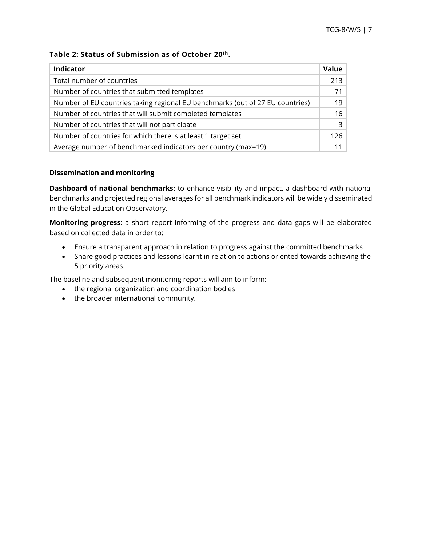#### **Table 2: Status of Submission as of October 20th.**

| Indicator                                                                     | Value          |
|-------------------------------------------------------------------------------|----------------|
| Total number of countries                                                     | 213            |
| Number of countries that submitted templates                                  | 71             |
| Number of EU countries taking regional EU benchmarks (out of 27 EU countries) | 19             |
| Number of countries that will submit completed templates                      | 16             |
| Number of countries that will not participate                                 | $\overline{3}$ |
| Number of countries for which there is at least 1 target set                  | 126            |
| Average number of benchmarked indicators per country (max=19)                 | 11             |

#### **Dissemination and monitoring**

**Dashboard of national benchmarks:** to enhance visibility and impact, a dashboard with national benchmarks and projected regional averages for all benchmark indicators will be widely disseminated in the Global Education Observatory.

**Monitoring progress:** a short report informing of the progress and data gaps will be elaborated based on collected data in order to:

- Ensure a transparent approach in relation to progress against the committed benchmarks
- Share good practices and lessons learnt in relation to actions oriented towards achieving the 5 priority areas.

The baseline and subsequent monitoring reports will aim to inform:

- the regional organization and coordination bodies
- the broader international community.